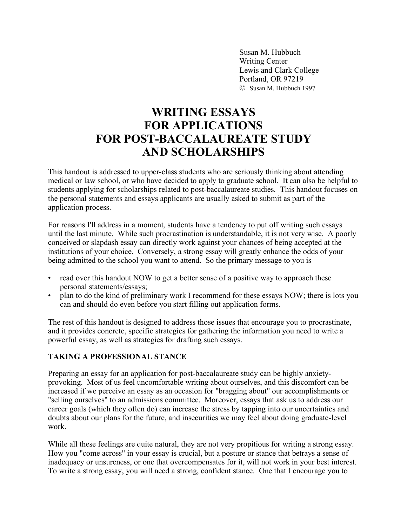Susan M. Hubbuch Writing Center Lewis and Clark College Portland, OR 97219 © Susan M. Hubbuch 1997

# **WRITING ESSAYS FOR APPLICATIONS FOR POST-BACCALAUREATE STUDY AND SCHOLARSHIPS**

This handout is addressed to upper-class students who are seriously thinking about attending medical or law school, or who have decided to apply to graduate school. It can also be helpful to students applying for scholarships related to post-baccalaureate studies. This handout focuses on the personal statements and essays applicants are usually asked to submit as part of the application process.

For reasons I'll address in a moment, students have a tendency to put off writing such essays until the last minute. While such procrastination is understandable, it is not very wise. A poorly conceived or slapdash essay can directly work against your chances of being accepted at the institutions of your choice. Conversely, a strong essay will greatly enhance the odds of your being admitted to the school you want to attend. So the primary message to you is

- read over this handout NOW to get a better sense of a positive way to approach these personal statements/essays;
- plan to do the kind of preliminary work I recommend for these essays NOW; there is lots you can and should do even before you start filling out application forms.

The rest of this handout is designed to address those issues that encourage you to procrastinate, and it provides concrete, specific strategies for gathering the information you need to write a powerful essay, as well as strategies for drafting such essays.

### **TAKING A PROFESSIONAL STANCE**

Preparing an essay for an application for post-baccalaureate study can be highly anxietyprovoking. Most of us feel uncomfortable writing about ourselves, and this discomfort can be increased if we perceive an essay as an occasion for "bragging about" our accomplishments or "selling ourselves" to an admissions committee. Moreover, essays that ask us to address our career goals (which they often do) can increase the stress by tapping into our uncertainties and doubts about our plans for the future, and insecurities we may feel about doing graduate-level work.

While all these feelings are quite natural, they are not very propitious for writing a strong essay. How you "come across" in your essay is crucial, but a posture or stance that betrays a sense of inadequacy or unsureness, or one that overcompensates for it, will not work in your best interest. To write a strong essay, you will need a strong, confident stance. One that I encourage you to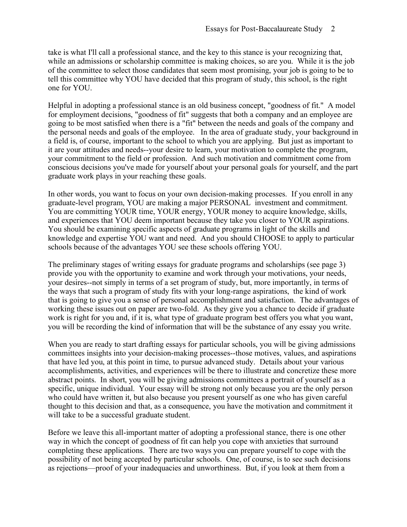take is what I'll call a professional stance, and the key to this stance is your recognizing that, while an admissions or scholarship committee is making choices, so are you. While it is the job of the committee to select those candidates that seem most promising, your job is going to be to tell this committee why YOU have decided that this program of study, this school, is the right one for YOU.

Helpful in adopting a professional stance is an old business concept, "goodness of fit." A model for employment decisions, "goodness of fit" suggests that both a company and an employee are going to be most satisfied when there is a "fit" between the needs and goals of the company and the personal needs and goals of the employee. In the area of graduate study, your background in a field is, of course, important to the school to which you are applying. But just as important to it are your attitudes and needs--your desire to learn, your motivation to complete the program, your commitment to the field or profession. And such motivation and commitment come from conscious decisions you've made for yourself about your personal goals for yourself, and the part graduate work plays in your reaching these goals.

In other words, you want to focus on your own decision-making processes. If you enroll in any graduate-level program, YOU are making a major PERSONAL investment and commitment. You are committing YOUR time, YOUR energy, YOUR money to acquire knowledge, skills, and experiences that YOU deem important because they take you closer to YOUR aspirations. You should be examining specific aspects of graduate programs in light of the skills and knowledge and expertise YOU want and need. And you should CHOOSE to apply to particular schools because of the advantages YOU see these schools offering YOU.

The preliminary stages of writing essays for graduate programs and scholarships (see page 3) provide you with the opportunity to examine and work through your motivations, your needs, your desires--not simply in terms of a set program of study, but, more importantly, in terms of the ways that such a program of study fits with your long-range aspirations, the kind of work that is going to give you a sense of personal accomplishment and satisfaction. The advantages of working these issues out on paper are two-fold. As they give you a chance to decide if graduate work is right for you and, if it is, what type of graduate program best offers you what you want, you will be recording the kind of information that will be the substance of any essay you write.

When you are ready to start drafting essays for particular schools, you will be giving admissions committees insights into your decision-making processes--those motives, values, and aspirations that have led you, at this point in time, to pursue advanced study. Details about your various accomplishments, activities, and experiences will be there to illustrate and concretize these more abstract points. In short, you will be giving admissions committees a portrait of yourself as a specific, unique individual. Your essay will be strong not only because you are the only person who could have written it, but also because you present yourself as one who has given careful thought to this decision and that, as a consequence, you have the motivation and commitment it will take to be a successful graduate student.

Before we leave this all-important matter of adopting a professional stance, there is one other way in which the concept of goodness of fit can help you cope with anxieties that surround completing these applications. There are two ways you can prepare yourself to cope with the possibility of not being accepted by particular schools. One, of course, is to see such decisions as rejections—proof of your inadequacies and unworthiness. But, if you look at them from a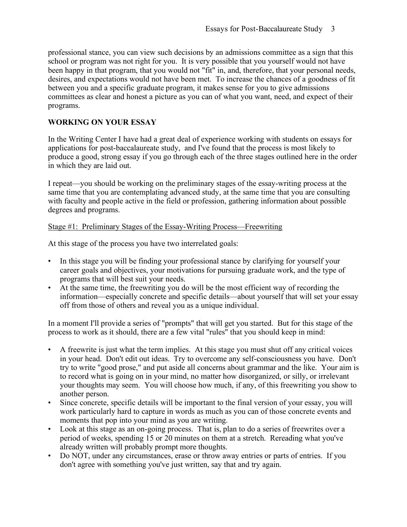professional stance, you can view such decisions by an admissions committee as a sign that this school or program was not right for you. It is very possible that you yourself would not have been happy in that program, that you would not "fit" in, and, therefore, that your personal needs, desires, and expectations would not have been met. To increase the chances of a goodness of fit between you and a specific graduate program, it makes sense for you to give admissions committees as clear and honest a picture as you can of what you want, need, and expect of their programs.

## **WORKING ON YOUR ESSAY**

In the Writing Center I have had a great deal of experience working with students on essays for applications for post-baccalaureate study, and I've found that the process is most likely to produce a good, strong essay if you go through each of the three stages outlined here in the order in which they are laid out.

I repeat—you should be working on the preliminary stages of the essay-writing process at the same time that you are contemplating advanced study, at the same time that you are consulting with faculty and people active in the field or profession, gathering information about possible degrees and programs.

## Stage #1: Preliminary Stages of the Essay-Writing Process—Freewriting

At this stage of the process you have two interrelated goals:

- In this stage you will be finding your professional stance by clarifying for yourself your career goals and objectives, your motivations for pursuing graduate work, and the type of programs that will best suit your needs.
- At the same time, the freewriting you do will be the most efficient way of recording the information—especially concrete and specific details—about yourself that will set your essay off from those of others and reveal you as a unique individual.

In a moment I'll provide a series of "prompts" that will get you started. But for this stage of the process to work as it should, there are a few vital "rules" that you should keep in mind:

- A freewrite is just what the term implies. At this stage you must shut off any critical voices in your head. Don't edit out ideas. Try to overcome any self-consciousness you have. Don't try to write "good prose," and put aside all concerns about grammar and the like. Your aim is to record what is going on in your mind, no matter how disorganized, or silly, or irrelevant your thoughts may seem. You will choose how much, if any, of this freewriting you show to another person.
- Since concrete, specific details will be important to the final version of your essay, you will work particularly hard to capture in words as much as you can of those concrete events and moments that pop into your mind as you are writing.
- Look at this stage as an on-going process. That is, plan to do a series of freewrites over a period of weeks, spending 15 or 20 minutes on them at a stretch. Rereading what you've already written will probably prompt more thoughts.
- Do NOT, under any circumstances, erase or throw away entries or parts of entries. If you don't agree with something you've just written, say that and try again.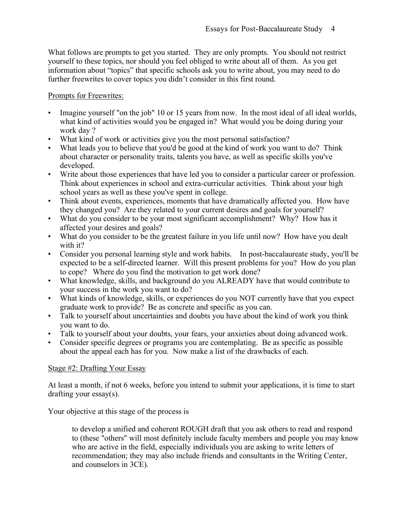What follows are prompts to get you started. They are only prompts. You should not restrict yourself to these topics, nor should you feel obliged to write about all of them. As you get information about "topics" that specific schools ask you to write about, you may need to do further freewrites to cover topics you didn't consider in this first round.

### Prompts for Freewrites:

- Imagine yourself "on the job" 10 or 15 years from now. In the most ideal of all ideal worlds, what kind of activities would you be engaged in? What would you be doing during your work day ?
- What kind of work or activities give you the most personal satisfaction?
- What leads you to believe that you'd be good at the kind of work you want to do? Think about character or personality traits, talents you have, as well as specific skills you've developed.
- Write about those experiences that have led you to consider a particular career or profession. Think about experiences in school and extra-curricular activities. Think about your high school years as well as these you've spent in college.
- Think about events, experiences, moments that have dramatically affected you. How have they changed you? Are they related to your current desires and goals for yourself?
- What do you consider to be your most significant accomplishment? Why? How has it affected your desires and goals?
- What do you consider to be the greatest failure in you life until now? How have you dealt with it?
- Consider you personal learning style and work habits. In post-baccalaureate study, you'll be expected to be a self-directed learner. Will this present problems for you? How do you plan to cope? Where do you find the motivation to get work done?
- What knowledge, skills, and background do you ALREADY have that would contribute to your success in the work you want to do?
- What kinds of knowledge, skills, or experiences do you NOT currently have that you expect graduate work to provide? Be as concrete and specific as you can.
- Talk to yourself about uncertainties and doubts you have about the kind of work you think you want to do.
- Talk to yourself about your doubts, your fears, your anxieties about doing advanced work.
- Consider specific degrees or programs you are contemplating. Be as specific as possible about the appeal each has for you. Now make a list of the drawbacks of each.

### Stage #2: Drafting Your Essay

At least a month, if not 6 weeks, before you intend to submit your applications, it is time to start drafting your essay(s).

Your objective at this stage of the process is

to develop a unified and coherent ROUGH draft that you ask others to read and respond to (these "others" will most definitely include faculty members and people you may know who are active in the field, especially individuals you are asking to write letters of recommendation; they may also include friends and consultants in the Writing Center, and counselors in 3CE).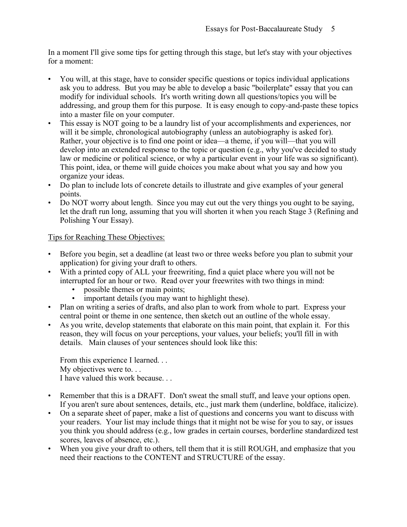In a moment I'll give some tips for getting through this stage, but let's stay with your objectives for a moment:

- You will, at this stage, have to consider specific questions or topics individual applications ask you to address. But you may be able to develop a basic "boilerplate" essay that you can modify for individual schools. It's worth writing down all questions/topics you will be addressing, and group them for this purpose. It is easy enough to copy-and-paste these topics into a master file on your computer.
- This essay is NOT going to be a laundry list of your accomplishments and experiences, nor will it be simple, chronological autobiography (unless an autobiography is asked for). Rather, your objective is to find one point or idea—a theme, if you will—that you will develop into an extended response to the topic or question (e.g., why you've decided to study law or medicine or political science, or why a particular event in your life was so significant). This point, idea, or theme will guide choices you make about what you say and how you organize your ideas.
- Do plan to include lots of concrete details to illustrate and give examples of your general points.
- Do NOT worry about length. Since you may cut out the very things you ought to be saying, let the draft run long, assuming that you will shorten it when you reach Stage 3 (Refining and Polishing Your Essay).

## Tips for Reaching These Objectives:

- Before you begin, set a deadline (at least two or three weeks before you plan to submit your application) for giving your draft to others.
- With a printed copy of ALL your freewriting, find a quiet place where you will not be interrupted for an hour or two. Read over your freewrites with two things in mind:
	- possible themes or main points;<br>• important details (you may want
	- important details (you may want to highlight these).
- Plan on writing a series of drafts, and also plan to work from whole to part. Express your central point or theme in one sentence, then sketch out an outline of the whole essay.
- As you write, develop statements that elaborate on this main point, that explain it. For this reason, they will focus on your perceptions, your values, your beliefs; you'll fill in with details. Main clauses of your sentences should look like this:

From this experience I learned. . . My objectives were to. . . I have valued this work because. . .

- Remember that this is a DRAFT. Don't sweat the small stuff, and leave your options open. If you aren't sure about sentences, details, etc., just mark them (underline, boldface, italicize).
- On a separate sheet of paper, make a list of questions and concerns you want to discuss with your readers. Your list may include things that it might not be wise for you to say, or issues you think you should address (e.g., low grades in certain courses, borderline standardized test scores, leaves of absence, etc.).
- When you give your draft to others, tell them that it is still ROUGH, and emphasize that you need their reactions to the CONTENT and STRUCTURE of the essay.